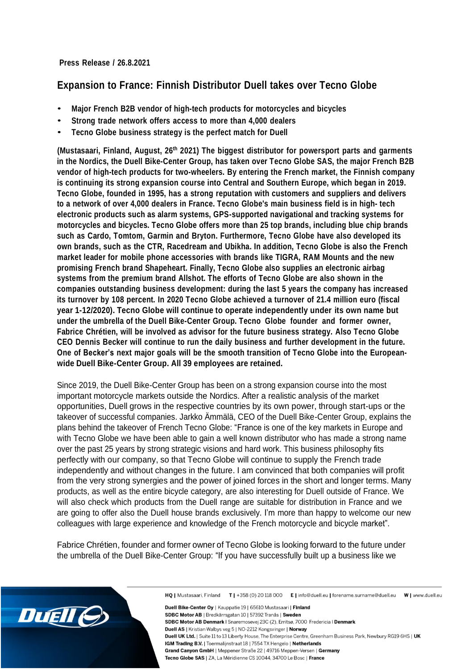**Press Release / 26.8.2021**

## **Expansion to France: Finnish Distributor Duell takes over Tecno Globe**

- **Major French B2B vendor of high-tech products for motorcycles and bicycles**
- **Strong trade network offers access to more than 4,000 dealers**
- **Tecno Globe business strategy is the perfect match for Duell**

**(Mustasaari, Finland, August, 26th 2021) The biggest distributor for powersport parts and garments in the Nordics, the Duell Bike-Center Group, has taken over Tecno Globe SAS, the major French B2B vendor of high-tech products for two-wheelers. By entering the French market, the Finnish company is continuing its strong expansion course into Central and Southern Europe, which began in 2019. Tecno Globe, founded in 1995, has a strong reputation with customers and suppliers and delivers to a network of over 4,000 dealers in France. Tecno Globe's main business field is in high- tech electronic products such as alarm systems, GPS-supported navigational and tracking systems for motorcycles and bicycles. Tecno Globe offers more than 25 top brands, including blue chip brands such as Cardo, Tomtom, Garmin and Bryton. Furthermore, Tecno Globe have also developed its own brands, such as the CTR, Racedream and Ubikha. In addition, Tecno Globe is also the French market leader for mobile phone accessories with brands like TIGRA, RAM Mounts and the new promising French brand Shapeheart. Finally, Tecno Globe also supplies an electronic airbag systems from the premium brand Allshot. The efforts of Tecno Globe are also shown in the companies outstanding business development: during the last 5 years the company has increased its turnover by 108 percent. In 2020 Tecno Globe achieved a turnover of 21.4 million euro (fiscal year 1-12/2020). Tecno Globe will continue to operate independently under its own name but under the umbrella of the Duell Bike-Center Group. Tecno Globe founder and former owner, Fabrice Chrétien, will be involved as advisor for the future business strategy. Also Tecno Globe CEO Dennis Becker will continue to run the daily business and further development in the future. One of Becker's next major goals will be the smooth transition of Tecno Globe into the Europeanwide Duell Bike-Center Group. All 39 employees are retained.**

Since 2019, the Duell Bike-Center Group has been on a strong expansion course into the most important motorcycle markets outside the Nordics. After a realistic analysis of the market opportunities, Duell grows in the respective countries by its own power, through start-ups or the takeover of successful companies. Jarkko Ämmälä, CEO of the Duell Bike-Center Group, explains the plans behind the takeover of French Tecno Globe: "France is one of the key markets in Europe and with Tecno Globe we have been able to gain a well known distributor who has made a strong name over the past 25 years by strong strategic visions and hard work. This business philosophy fits perfectly with our company, so that Tecno Globe will continue to supply the French trade independently and without changes in the future. I am convinced that both companies will profit from the very strong synergies and the power of joined forces in the short and longer terms. Many products, as well as the entire bicycle category, are also interesting for Duell outside of France. We will also check which products from the Duell range are suitable for distribution in France and we are going to offer also the Duell house brands exclusively. I'm more than happy to welcome our new colleagues with large experience and knowledge of the French motorcycle and bicycle market".

Fabrice Chrétien, founder and former owner of Tecno Globe is looking forward to the future under the umbrella of the Duell Bike-Center Group: "If you have successfully built up a business like we



Duell Bike-Center Ov | Kauppatie 19 | 65610 Mustasaari | Finland SDBC Motor AB | Bredkärrsgatan 10 | 57392 Tranås | Sweden SDBC Motor AB Denmark | Snaremosevej 23C (2), Erritsø, 7000 Fredericia | Denmark Duell AS | Kristian Walbys veg 5 | NO-2212 Kongsvinger | Norway Duell UK Ltd. | Suite 11 to 13 Liberty House, The Enterprise Centre, Greenham Business Park, Newbury RG19 6HS | UK IGM Trading B.V. | Toermalijnstraat 18 | 7554 TX Hengelo | Netherlands Grand Canyon GmbH | Meppener Straße 22 | 49716 Meppen-Versen | Germany Tecno Globe SAS | ZA, La Méridienne CS 10044, 34700 Le Bosc | France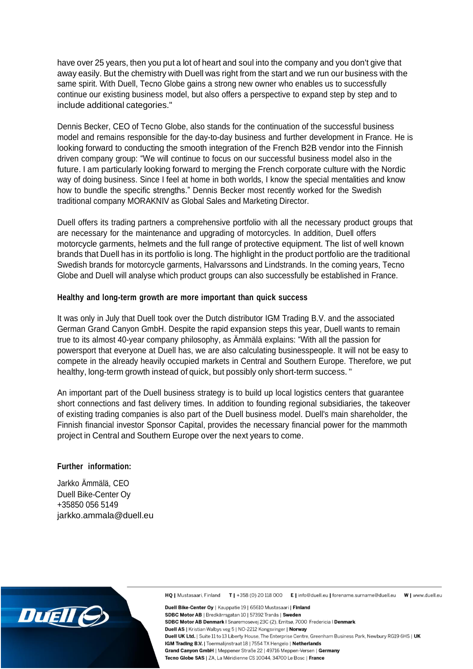have over 25 years, then you put a lot of heart and soul into the company and you don't give that away easily. But the chemistry with Duell was right from the start and we run our business with the same spirit. With Duell, Tecno Globe gains a strong new owner who enables us to successfully continue our existing business model, but also offers a perspective to expand step by step and to include additional categories."

Dennis Becker, CEO of Tecno Globe, also stands for the continuation of the successful business model and remains responsible for the day-to-day business and further development in France. He is looking forward to conducting the smooth integration of the French B2B vendor into the Finnish driven company group: "We will continue to focus on our successful business model also in the future. I am particularly looking forward to merging the French corporate culture with the Nordic way of doing business. Since I feel at home in both worlds, I know the special mentalities and know how to bundle the specific strengths." Dennis Becker most recently worked for the Swedish traditional company MORAKNIV as Global Sales and Marketing Director.

Duell offers its trading partners a comprehensive portfolio with all the necessary product groups that are necessary for the maintenance and upgrading of motorcycles. In addition, Duell offers motorcycle garments, helmets and the full range of protective equipment. The list of well known brands that Duell has in its portfolio is long. The highlight in the product portfolio are the traditional Swedish brands for motorcycle garments, Halvarssons and Lindstrands. In the coming years, Tecno Globe and Duell will analyse which product groups can also successfully be established in France.

## **Healthy and long-term growth are more important than quick success**

It was only in July that Duell took over the Dutch distributor IGM Trading B.V. and the associated German Grand Canyon GmbH. Despite the rapid expansion steps this year, Duell wants to remain true to its almost 40-year company philosophy, as Ämmälä explains: "With all the passion for powersport that everyone at Duell has, we are also calculating businesspeople. It will not be easy to compete in the already heavily occupied markets in Central and Southern Europe. Therefore, we put healthy, long-term growth instead of quick, but possibly only short-term success. "

An important part of the Duell business strategy is to build up local logistics centers that guarantee short connections and fast delivery times. In addition to founding regional subsidiaries, the takeover of existing trading companies is also part of the Duell business model. Duell's main shareholder, the Finnish financial investor Sponsor Capital, provides the necessary financial power for the mammoth project in Central and Southern Europe over the next years to come.

## **Further information:**

Jarkko Ämmälä, CEO Duell Bike-Center Oy +35850 056 5149 [jarkko.ammala@duell.eu](mailto:jarkko.ammala@duell.eu)